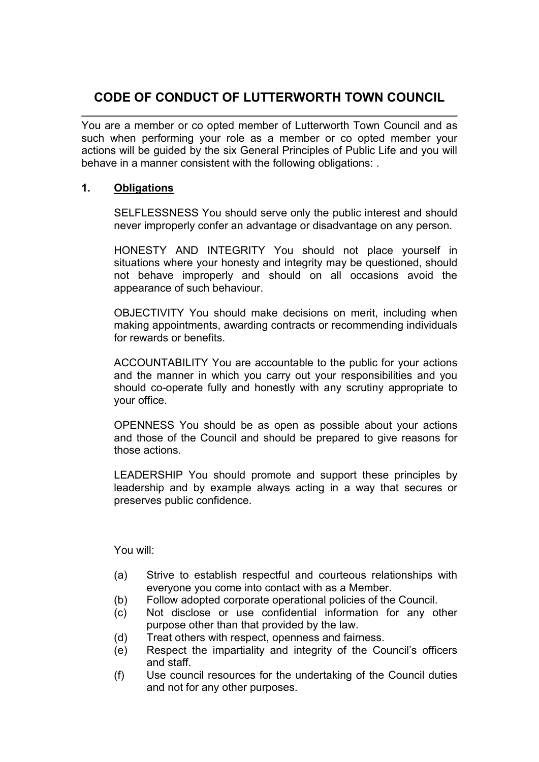# CODE OF CONDUCT OF LUTTERWORTH TOWN COUNCIL

You are a member or co opted member of Lutterworth Town Council and as such when performing your role as a member or co opted member your actions will be guided by the six General Principles of Public Life and you will behave in a manner consistent with the following obligations: .

## 1. Obligations

SELFLESSNESS You should serve only the public interest and should never improperly confer an advantage or disadvantage on any person.

HONESTY AND INTEGRITY You should not place yourself in situations where your honesty and integrity may be questioned, should not behave improperly and should on all occasions avoid the appearance of such behaviour.

OBJECTIVITY You should make decisions on merit, including when making appointments, awarding contracts or recommending individuals for rewards or benefits.

ACCOUNTABILITY You are accountable to the public for your actions and the manner in which you carry out your responsibilities and you should co-operate fully and honestly with any scrutiny appropriate to your office.

OPENNESS You should be as open as possible about your actions and those of the Council and should be prepared to give reasons for those actions.

LEADERSHIP You should promote and support these principles by leadership and by example always acting in a way that secures or preserves public confidence.

You will:

- (a) Strive to establish respectful and courteous relationships with everyone you come into contact with as a Member.
- (b) Follow adopted corporate operational policies of the Council.
- (c) Not disclose or use confidential information for any other purpose other than that provided by the law.
- (d) Treat others with respect, openness and fairness.
- (e) Respect the impartiality and integrity of the Council's officers and staff.
- (f) Use council resources for the undertaking of the Council duties and not for any other purposes.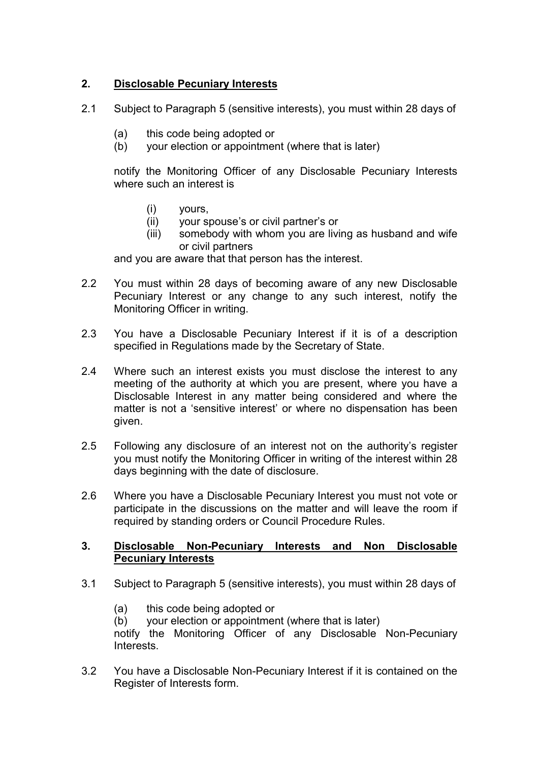# 2. Disclosable Pecuniary Interests

- 2.1 Subject to Paragraph 5 (sensitive interests), you must within 28 days of
	- (a) this code being adopted or
	- (b) your election or appointment (where that is later)

notify the Monitoring Officer of any Disclosable Pecuniary Interests where such an interest is

- (i) yours,
- (ii) your spouse's or civil partner's or
- (iii) somebody with whom you are living as husband and wife or civil partners

and you are aware that that person has the interest.

- 2.2 You must within 28 days of becoming aware of any new Disclosable Pecuniary Interest or any change to any such interest, notify the Monitoring Officer in writing.
- 2.3 You have a Disclosable Pecuniary Interest if it is of a description specified in Regulations made by the Secretary of State.
- 2.4 Where such an interest exists you must disclose the interest to any meeting of the authority at which you are present, where you have a Disclosable Interest in any matter being considered and where the matter is not a 'sensitive interest' or where no dispensation has been given.
- 2.5 Following any disclosure of an interest not on the authority's register you must notify the Monitoring Officer in writing of the interest within 28 days beginning with the date of disclosure.
- 2.6 Where you have a Disclosable Pecuniary Interest you must not vote or participate in the discussions on the matter and will leave the room if required by standing orders or Council Procedure Rules.

### 3. Disclosable Non-Pecuniary Interests and Non Disclosable Pecuniary Interests

- 3.1 Subject to Paragraph 5 (sensitive interests), you must within 28 days of
	- (a) this code being adopted or

(b) your election or appointment (where that is later)

notify the Monitoring Officer of any Disclosable Non-Pecuniary Interests.

3.2 You have a Disclosable Non-Pecuniary Interest if it is contained on the Register of Interests form.